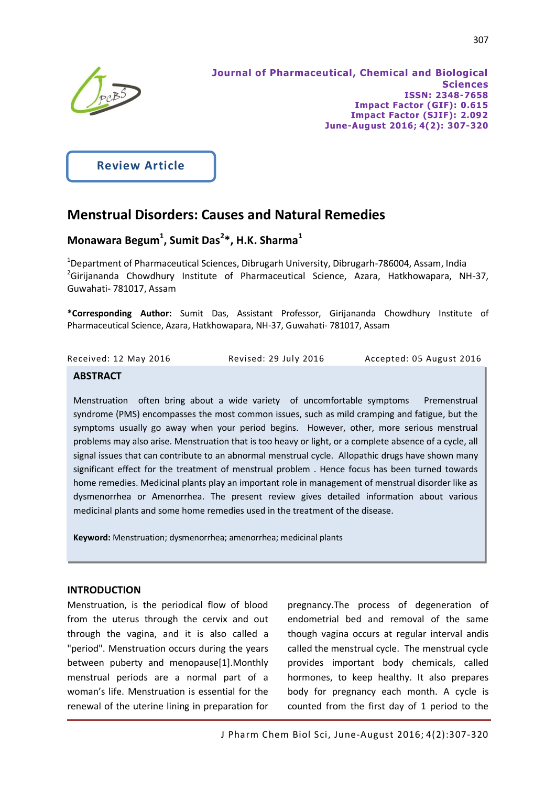

j

**Review Article**

# **Menstrual Disorders: Causes and Natural Remedies**

# **Monawara Begum<sup>1</sup> , Sumit Das<sup>2</sup> \*, H.K. Sharma<sup>1</sup>**

<sup>1</sup>Department of Pharmaceutical Sciences, Dibrugarh University, Dibrugarh-786004, Assam, India <sup>2</sup>Girijananda Chowdhury Institute of Pharmaceutical Science, Azara, Hatkhowapara, NH-37, Guwahati- 781017, Assam

**\*Corresponding Author:** Sumit Das, Assistant Professor, Girijananda Chowdhury Institute of Pharmaceutical Science, Azara, Hatkhowapara, NH-37, Guwahati- 781017, Assam

| Accepted: 05 August 2016<br>Received: 12 May 2016<br>Revised: 29 July 2016 |  |
|----------------------------------------------------------------------------|--|
|----------------------------------------------------------------------------|--|

## **ABSTRACT**

Menstruation often bring about a wide variety of uncomfortable symptoms Premenstrual syndrome (PMS) encompasses the most common issues, such as mild cramping and fatigue, but the symptoms usually go away when your period begins. However, other, more serious menstrual problems may also arise. Menstruation that is too heavy or light, or a complete absence of a cycle, all signal issues that can contribute to an abnormal menstrual cycle. Allopathic drugs have shown many significant effect for the treatment of menstrual problem . Hence focus has been turned towards home remedies. Medicinal plants play an important role in management of menstrual disorder like as dysmenorrhea or Amenorrhea. The present review gives detailed information about various medicinal plants and some home remedies used in the treatment of the disease.

**Keyword:** Menstruation; dysmenorrhea; amenorrhea; medicinal plants

## **INTRODUCTION**

Ì

Menstruation, is the periodical flow of blood from the uterus through the cervix and out through the vagina, and it is also called a "period". Menstruation occurs during the years between puberty and menopause[1].Monthly menstrual periods are a normal part of a woman's life. Menstruation is essential for the renewal of the uterine lining in preparation for

pregnancy.The process of degeneration of endometrial bed and removal of the same though vagina occurs at regular interval andis called the menstrual cycle. The menstrual cycle provides important body chemicals, called hormones, to keep healthy. It also prepares body for pregnancy each month. A cycle is counted from the first day of 1 period to the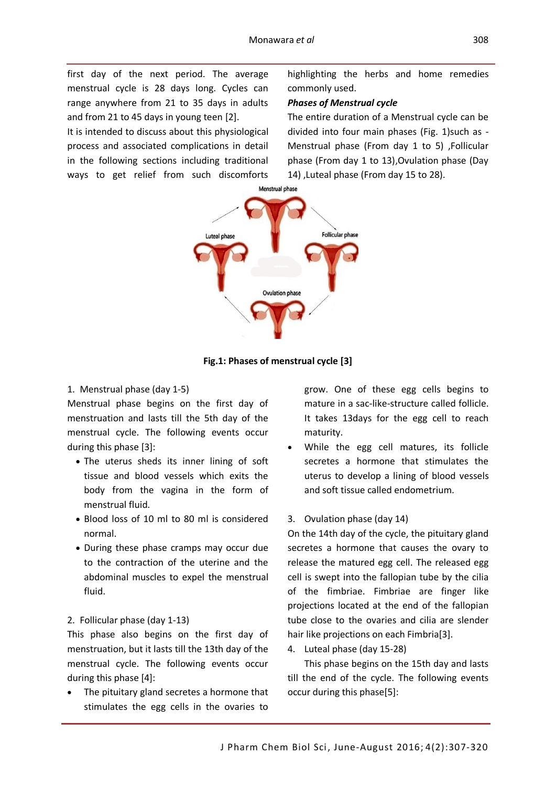first day of the next period. The average menstrual cycle is 28 days long. Cycles can range anywhere from 21 to 35 days in adults and from 21 to 45 days in young teen [2].

It is intended to discuss about this physiological process and associated complications in detail in the following sections including traditional ways to get relief from such discomforts

highlighting the herbs and home remedies commonly used.

#### *Phases of Menstrual cycle*

The entire duration of a Menstrual cycle can be divided into four main phases (Fig. 1)such as - Menstrual phase (From day 1 to 5) ,Follicular phase (From day 1 to 13),Ovulation phase (Day 14) ,Luteal phase (From day 15 to 28).



**Fig.1: Phases of menstrual cycle [3]**

#### 1. Menstrual phase (day 1-5)

Menstrual phase begins on the first day of menstruation and lasts till the 5th day of the menstrual cycle. The following events occur during this phase [3]:

- The uterus sheds its inner lining of soft tissue and blood vessels which exits the body from the vagina in the form of menstrual fluid.
- Blood loss of 10 ml to 80 ml is considered normal.
- During these phase cramps may occur due to the contraction of the uterine and the abdominal muscles to expel the menstrual fluid.

#### 2. Follicular phase (day 1-13)

This phase also begins on the first day of menstruation, but it lasts till the 13th day of the menstrual cycle. The following events occur during this phase [4]:

 The pituitary gland secretes a hormone that stimulates the egg cells in the ovaries to

grow. One of these egg cells begins to mature in a sac-like-structure called follicle. It takes 13days for the egg cell to reach maturity.

 While the egg cell matures, its follicle secretes a hormone that stimulates the uterus to develop a lining of blood vessels and soft tissue called endometrium.

## 3. Ovulation phase (day 14)

On the 14th day of the cycle, the pituitary gland secretes a hormone that causes the ovary to release the matured egg cell. The released egg cell is swept into the fallopian tube by the cilia of the fimbriae. Fimbriae are finger like projections located at the end of the fallopian tube close to the ovaries and cilia are slender hair like projections on each Fimbria[3].

4. Luteal phase (day 15-28)

This phase begins on the 15th day and lasts till the end of the cycle. The following events occur during this phase[5]: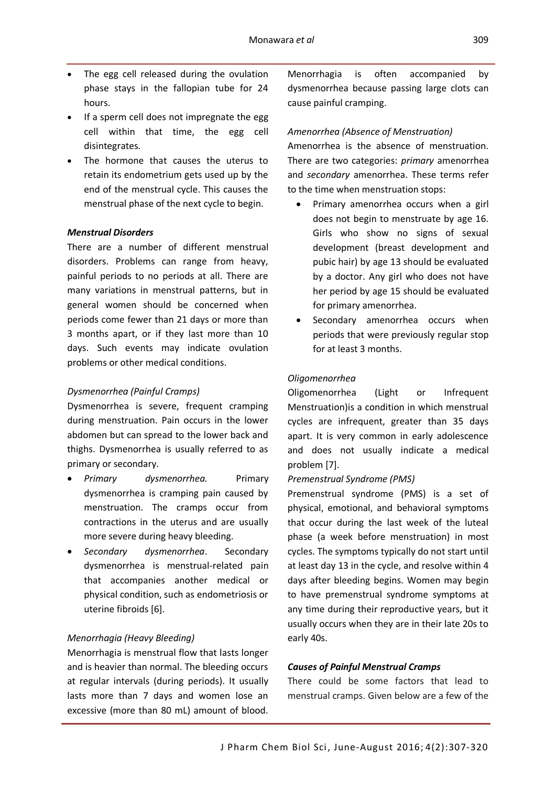- The egg cell released during the ovulation phase stays in the fallopian tube for 24 hours.
- If a sperm cell does not impregnate the egg cell within that time, the egg cell disintegrates.
- The hormone that causes the uterus to retain its endometrium gets used up by the end of the menstrual cycle. This causes the menstrual phase of the next cycle to begin.

## *Menstrual Disorders*

There are a number of different menstrual disorders. Problems can range from heavy, painful periods to no periods at all. There are many variations in menstrual patterns, but in general women should be concerned when periods come fewer than 21 days or more than 3 months apart, or if they last more than 10 days. Such events may indicate ovulation problems or other medical conditions.

#### *Dysmenorrhea (Painful Cramps)*

Dysmenorrhea is severe, frequent cramping during menstruation. Pain occurs in the lower abdomen but can spread to the lower back and thighs. Dysmenorrhea is usually referred to as primary or secondary.

- *Primary dysmenorrhea.* Primary dysmenorrhea is cramping pain caused by menstruation. The cramps occur from contractions in the uterus and are usually more severe during heavy bleeding.
- *Secondary dysmenorrhea*. Secondary dysmenorrhea is menstrual-related pain that accompanies another medical or physical condition, such as endometriosis or uterine fibroids [6].

#### *Menorrhagia (Heavy Bleeding)*

Menorrhagia is menstrual flow that lasts longer and is heavier than normal. The bleeding occurs at regular intervals (during periods). It usually lasts more than 7 days and women lose an excessive (more than 80 mL) amount of blood.

Menorrhagia is often accompanied by dysmenorrhea because passing large clots can cause painful cramping.

#### *Amenorrhea (Absence of Menstruation)*

Amenorrhea is the absence of menstruation. There are two categories: *primary* amenorrhea and *secondary* amenorrhea. These terms refer to the time when menstruation stops:

- Primary amenorrhea occurs when a girl does not begin to menstruate by age 16. Girls who show no signs of sexual development (breast development and pubic hair) by age 13 should be evaluated by a doctor. Any girl who does not have her period by age 15 should be evaluated for primary amenorrhea.
- Secondary amenorrhea occurs when periods that were previously regular stop for at least 3 months.

#### *Oligomenorrhea*

Oligomenorrhea (Light or Infrequent Menstruation)is a condition in which menstrual cycles are infrequent, greater than 35 days apart. It is very common in early adolescence and does not usually indicate a medical problem [7].

#### *Premenstrual Syndrome (PMS)*

Premenstrual syndrome (PMS) is a set of physical, emotional, and behavioral symptoms that occur during the last week of the luteal phase (a week before menstruation) in most cycles. The symptoms typically do not start until at least day 13 in the cycle, and resolve within 4 days after bleeding begins. Women may begin to have premenstrual syndrome symptoms at any time during their reproductive years, but it usually occurs when they are in their late 20s to early 40s.

#### *Causes of Painful Menstrual Cramps*

There could be some factors that lead to menstrual cramps. Given below are a few of the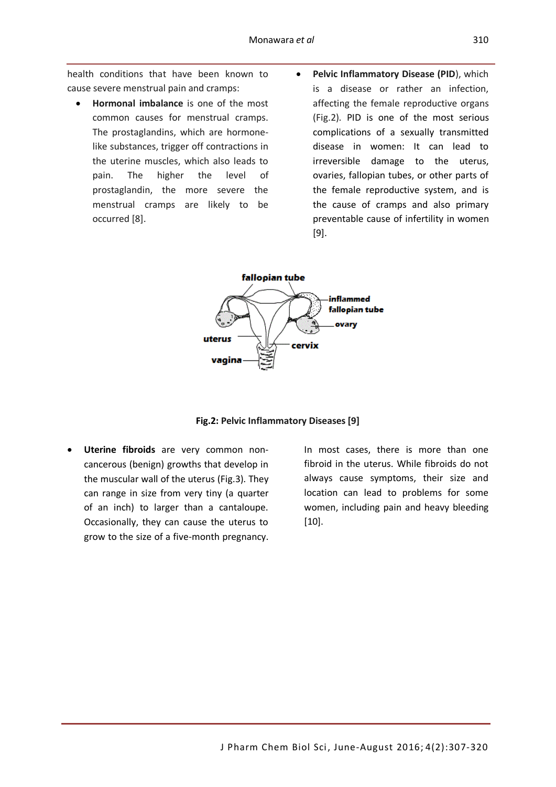health conditions that have been known to cause severe menstrual pain and cramps:

- **Hormonal imbalance** is one of the most common causes for menstrual cramps. The prostaglandins, which are hormonelike substances, trigger off contractions in the uterine muscles, which also leads to pain. The higher the level of prostaglandin, the more severe the menstrual cramps are likely to be occurred [8].
- **•** Pelvic Inflammatory Disease (PID), which is a disease or rather an infection, affecting the female reproductive organs (Fig.2). PID is one of the most serious complications of a [sexually transmitted](http://www.webmd.com/sexual-conditions/default.htm)  [disease](http://www.webmd.com/sexual-conditions/default.htm) in women: It can lead to irreversible damage to the uterus, ovaries, fallopian tubes, or other parts of the [female reproductive system,](http://www.webmd.com/sex-relationships/guide/your-guide-female-reproductive-system) and is the cause of cramps and also primary preventable [cause of infertility](http://www.webmd.com/infertility-and-reproduction/tc/fertility-problems-cause) in women [9].



**Fig.2: Pelvic Inflammatory Diseases [9]**

 **Uterine fibroids** are very common noncancerous (benign) growths that develop in the muscular wall of the uterus (Fig.3). They can range in size from very tiny (a quarter of an inch) to larger than a cantaloupe. Occasionally, they can cause the uterus to grow to the size of a five-month pregnancy.

In most cases, there is more than one fibroid in the uterus. While fibroids do not always cause symptoms, their size and location can lead to problems for some women, including pain and heavy bleeding [10].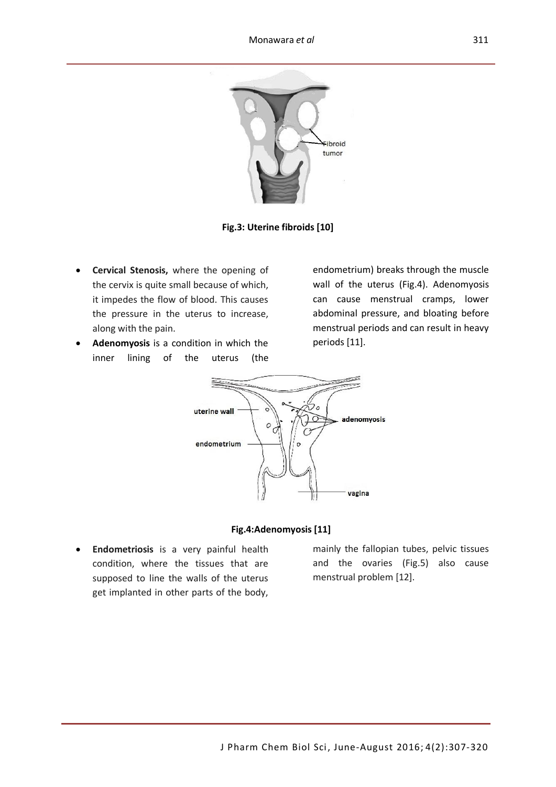

**Fig.3: Uterine fibroids [10]**

- **Cervical Stenosis,** where the opening of the cervix is quite small because of which, it impedes the flow of blood. This causes the pressure in the uterus to increase, along with the pain.
- **Adenomyosis** is a condition in which the inner lining of the uterus (the

endometrium) breaks through the muscle wall of the uterus (Fig.4). Adenomyosis can cause menstrual [cramps,](http://www.webmd.com/pain-management/muscle-spasms-cramps-charley-horse) lower abdominal pressure, and [bloating](http://www.webmd.com/digestive-disorders/diarrhea-10/bloated-bloating) before menstrual periods and can result in [heavy](http://www.webmd.com/women/guide/heavy-period-causes-treatments)  [periods](http://www.webmd.com/women/guide/heavy-period-causes-treatments) [11].



#### **Fig.4:Adenomyosis [11]**

 **Endometriosis** is a very painful health condition, where the tissues that are supposed to line the walls of the uterus get implanted in other parts of the body,

mainly the fallopian tubes, pelvic tissues and the ovaries (Fig.5) also cause menstrual problem [12].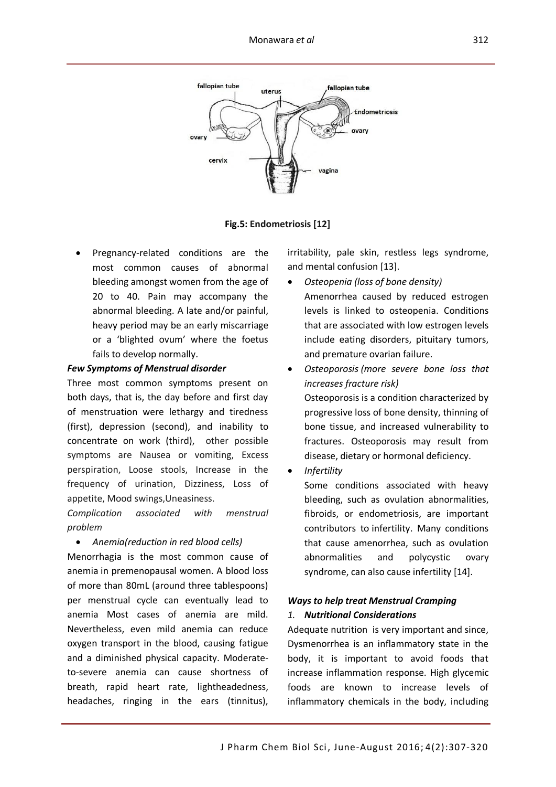

 **Fig.5: Endometriosis [12]**

 Pregnancy-related conditions are the most common causes of abnormal bleeding amongst women from the age of 20 to 40. Pain may accompany the abnormal bleeding. A late and/or painful, heavy period may be an early miscarriage or a 'blighted ovum' where the foetus fails to develop normally.

#### *Few Symptoms of Menstrual disorder*

Three most common symptoms present on both days, that is, the day before and first day of menstruation were lethargy and tiredness (first), depression (second), and inability to concentrate on work (third), other possible symptoms are Nausea or vomiting, Excess perspiration, Loose stools, Increase in the frequency of urination, Dizziness, Loss of appetite, Mood swings,Uneasiness.

*Complication associated with menstrual problem*

*Anemia(reduction in red blood cells)* 

Menorrhagia is the most common cause of anemia in premenopausal women. A blood loss of more than 80mL (around three tablespoons) per menstrual cycle can eventually lead to anemia Most cases of anemia are mild. Nevertheless, even mild anemia can reduce oxygen transport in the blood, causing fatigue and a diminished physical capacity. Moderateto-severe anemia can cause shortness of breath, rapid heart rate, lightheadedness, headaches, ringing in the ears (tinnitus),

irritability, pale skin, restless legs syndrome, and mental confusion [13].

- *Osteopenia (loss of bone density)* Amenorrhea caused by reduced estrogen levels is linked to osteopenia. Conditions that are associated with low estrogen levels include eating disorders, pituitary tumors, and premature ovarian failure.
- *[Osteoporosis](http://umm.edu/health/medical/reports/articles/osteoporosis) (more severe bone loss that increases fracture risk)* Osteoporosis is a condition characterized by progressive loss of bone density, thinning of bone tissue, and increased vulnerability to fractures. Osteoporosis may result from disease, dietary or hormonal deficiency.
- *Infertility*

Some conditions associated with heavy bleeding, such as ovulation abnormalities, fibroids, or endometriosis, are important contributors to [infertility.](http://umm.edu/health/medical/reports/articles/infertility-in-women) Many conditions that cause amenorrhea, such as ovulation abnormalities and polycystic ovary syndrome, can also cause infertility [14].

## *Ways to help treat Menstrual Cramping 1. Nutritional Considerations*

Adequate nutrition is very important and since, Dysmenorrhea is an inflammatory state in the body, it is important to avoid foods that increase inflammation response. High glycemic foods are known to increase levels of inflammatory chemicals in the body, including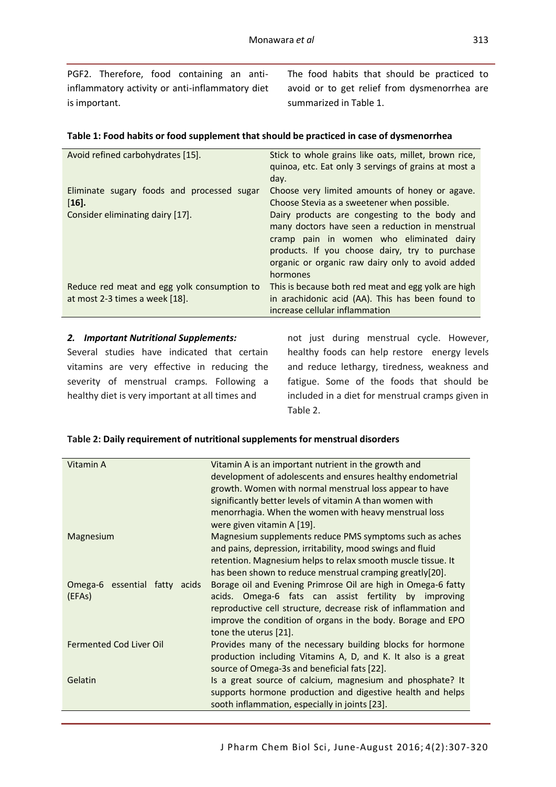PGF2. Therefore, food containing an antiinflammatory activity or anti-inflammatory diet is important.

The food habits that should be practiced to avoid or to get relief from dysmenorrhea are summarized in Table 1.

## **Table 1: Food habits or food supplement that should be practiced in case of dysmenorrhea**

| Avoid refined carbohydrates [15].                                             | Stick to whole grains like oats, millet, brown rice,<br>quinoa, etc. Eat only 3 servings of grains at most a<br>day.                                                                                                                                           |
|-------------------------------------------------------------------------------|----------------------------------------------------------------------------------------------------------------------------------------------------------------------------------------------------------------------------------------------------------------|
| Eliminate sugary foods and processed sugar<br>$[16]$ .                        | Choose very limited amounts of honey or agave.<br>Choose Stevia as a sweetener when possible.                                                                                                                                                                  |
| Consider eliminating dairy [17].                                              | Dairy products are congesting to the body and<br>many doctors have seen a reduction in menstrual<br>cramp pain in women who eliminated dairy<br>products. If you choose dairy, try to purchase<br>organic or organic raw dairy only to avoid added<br>hormones |
| Reduce red meat and egg yolk consumption to<br>at most 2-3 times a week [18]. | This is because both red meat and egg yolk are high<br>in arachidonic acid (AA). This has been found to<br>increase cellular inflammation                                                                                                                      |

## *2. Important Nutritional Supplements:*

Several studies have indicated that certain vitamins are very effective in reducing the severity of menstrual cramps. Following a healthy diet is very important at all times and

not just during menstrual cycle. However, healthy foods can help restore energy levels and reduce lethargy, tiredness, weakness and fatigue. Some of the foods that should be included in a diet for menstrual cramps given in Table 2.

## **Table 2: Daily requirement of nutritional supplements for menstrual disorders**

| Vitamin A                      | Vitamin A is an important nutrient in the growth and           |
|--------------------------------|----------------------------------------------------------------|
|                                | development of adolescents and ensures healthy endometrial     |
|                                | growth. Women with normal menstrual loss appear to have        |
|                                | significantly better levels of vitamin A than women with       |
|                                | menorrhagia. When the women with heavy menstrual loss          |
|                                | were given vitamin A [19].                                     |
| Magnesium                      | Magnesium supplements reduce PMS symptoms such as aches        |
|                                | and pains, depression, irritability, mood swings and fluid     |
|                                | retention. Magnesium helps to relax smooth muscle tissue. It   |
|                                | has been shown to reduce menstrual cramping greatly[20].       |
| Omega-6 essential fatty acids  | Borage oil and Evening Primrose Oil are high in Omega-6 fatty  |
| (EFAs)                         | acids. Omega-6 fats can assist fertility by improving          |
|                                | reproductive cell structure, decrease risk of inflammation and |
|                                | improve the condition of organs in the body. Borage and EPO    |
|                                | tone the uterus [21].                                          |
| <b>Fermented Cod Liver Oil</b> | Provides many of the necessary building blocks for hormone     |
|                                | production including Vitamins A, D, and K. It also is a great  |
|                                | source of Omega-3s and beneficial fats [22].                   |
| Gelatin                        | Is a great source of calcium, magnesium and phosphate? It      |
|                                | supports hormone production and digestive health and helps     |
|                                | sooth inflammation, especially in joints [23].                 |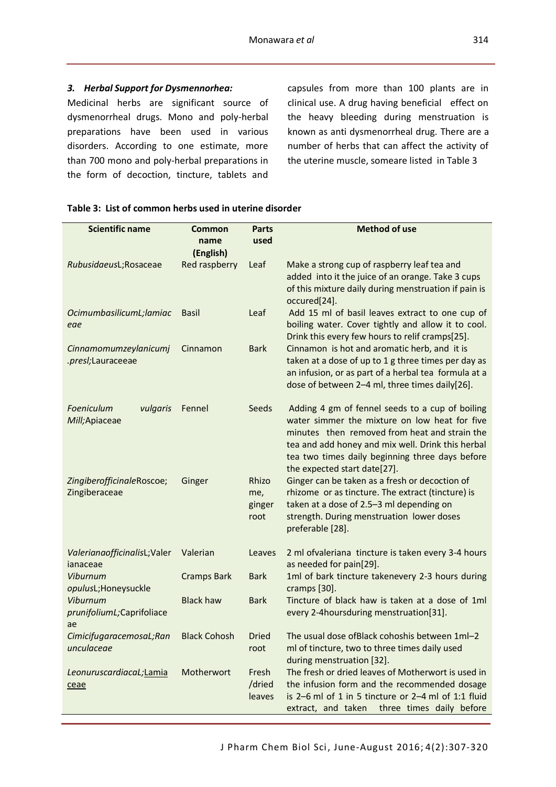## *3. Herbal Support for Dysmennorhea:*

Medicinal herbs are significant source of dysmenorrheal drugs. Mono and poly-herbal preparations have been used in various disorders. According to one estimate, more than 700 mono and poly-herbal preparations in the form of decoction, tincture, tablets and

capsules from more than 100 plants are in clinical use. A drug having beneficial effect on the heavy bleeding during menstruation is known as anti dysmenorrheal drug. There are a number of herbs that can affect the activity of the uterine muscle, someare listed in Table 3

| <b>Scientific name</b>          | <b>Common</b>       | <b>Parts</b>    | <b>Method of use</b>                                                                               |
|---------------------------------|---------------------|-----------------|----------------------------------------------------------------------------------------------------|
|                                 | name                | used            |                                                                                                    |
|                                 | (English)           |                 |                                                                                                    |
| RubusidaeusL;Rosaceae           | Red raspberry       | Leaf            | Make a strong cup of raspberry leaf tea and                                                        |
|                                 |                     |                 | added into it the juice of an orange. Take 3 cups                                                  |
|                                 |                     |                 | of this mixture daily during menstruation if pain is<br>occured[24].                               |
| OcimumbasilicumL;lamiac         | <b>Basil</b>        | Leaf            | Add 15 ml of basil leaves extract to one cup of                                                    |
| eae                             |                     |                 | boiling water. Cover tightly and allow it to cool.                                                 |
|                                 |                     |                 | Drink this every few hours to relif cramps[25].                                                    |
| Cinnamomumzeylanicumj           | Cinnamon            | <b>Bark</b>     | Cinnamon is hot and aromatic herb, and it is                                                       |
| .presl;Lauraceeae               |                     |                 | taken at a dose of up to 1 g three times per day as                                                |
|                                 |                     |                 | an infusion, or as part of a herbal tea formula at a                                               |
|                                 |                     |                 | dose of between 2-4 ml, three times daily[26].                                                     |
| Foeniculum<br>vulgaris          | Fennel              | Seeds           | Adding 4 gm of fennel seeds to a cup of boiling                                                    |
| Mill;Apiaceae                   |                     |                 | water simmer the mixture on low heat for five                                                      |
|                                 |                     |                 | minutes then removed from heat and strain the                                                      |
|                                 |                     |                 | tea and add honey and mix well. Drink this herbal                                                  |
|                                 |                     |                 | tea two times daily beginning three days before<br>the expected start date[27].                    |
| ZingiberofficinaleRoscoe;       | Ginger              | Rhizo           | Ginger can be taken as a fresh or decoction of                                                     |
| Zingiberaceae                   |                     | me,             | rhizome or as tincture. The extract (tincture) is                                                  |
|                                 |                     | ginger          | taken at a dose of 2.5-3 ml depending on                                                           |
|                                 |                     | root            | strength. During menstruation lower doses                                                          |
|                                 |                     |                 | preferable [28].                                                                                   |
| ValerianaofficinalisL; Valer    | Valerian            | Leaves          | 2 ml ofvaleriana tincture is taken every 3-4 hours                                                 |
| ianaceae                        |                     |                 | as needed for pain[29].                                                                            |
| Viburnum                        | <b>Cramps Bark</b>  | <b>Bark</b>     | 1ml of bark tincture takenevery 2-3 hours during                                                   |
| opulusL;Honeysuckle<br>Viburnum | <b>Black haw</b>    | <b>Bark</b>     | cramps [30].<br>Tincture of black haw is taken at a dose of 1ml                                    |
| prunifoliumL;Caprifoliace       |                     |                 | every 2-4hoursduring menstruation[31].                                                             |
| ae                              |                     |                 |                                                                                                    |
| CimicifugaracemosaL;Ran         | <b>Black Cohosh</b> | Dried           | The usual dose ofBlack cohoshis between 1ml-2                                                      |
| unculaceae                      |                     | root            | ml of tincture, two to three times daily used                                                      |
|                                 |                     |                 | during menstruation [32].                                                                          |
| LeonuruscardiacaL;Lamia         | Motherwort          | Fresh<br>/dried | The fresh or dried leaves of Motherwort is used in<br>the infusion form and the recommended dosage |
| ceae                            |                     | leaves          | is 2-6 ml of 1 in 5 tincture or 2-4 ml of 1:1 fluid                                                |
|                                 |                     |                 | extract, and taken<br>three times daily before                                                     |

#### **Table 3: List of common herbs used in uterine disorder**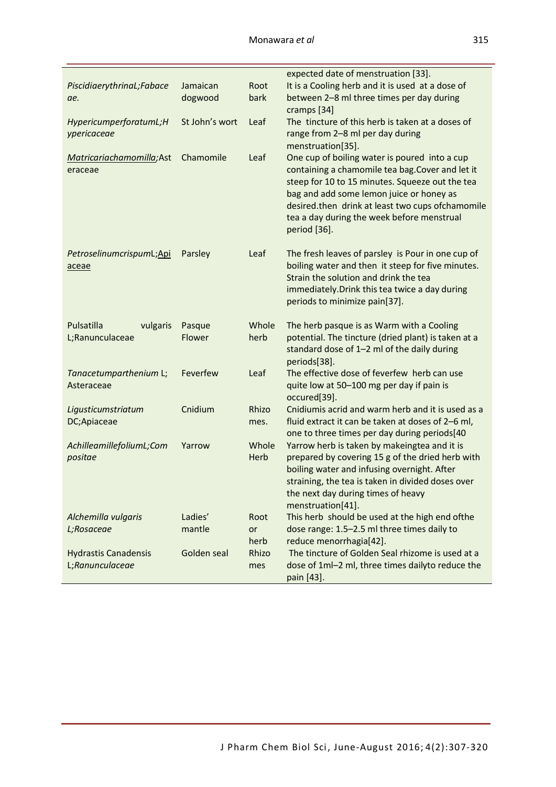|                             |                |       | expected date of menstruation [33].                               |
|-----------------------------|----------------|-------|-------------------------------------------------------------------|
| PiscidiaerythrinaL;Fabace   | Jamaican       | Root  | It is a Cooling herb and it is used at a dose of                  |
| ae.                         | dogwood        | bark  | between 2-8 ml three times per day during                         |
|                             |                |       | cramps [34]                                                       |
| HypericumperforatumL;H      | St John's wort | Leaf  | The tincture of this herb is taken at a doses of                  |
| ypericaceae                 |                |       | range from 2-8 ml per day during                                  |
|                             |                |       | menstruation[35].                                                 |
| Matricariachamomilla;Ast    | Chamomile      | Leaf  | One cup of boiling water is poured into a cup                     |
| eraceae                     |                |       | containing a chamomile tea bag. Cover and let it                  |
|                             |                |       | steep for 10 to 15 minutes. Squeeze out the tea                   |
|                             |                |       | bag and add some lemon juice or honey as                          |
|                             |                |       | desired.then drink at least two cups ofchamomile                  |
|                             |                |       | tea a day during the week before menstrual                        |
|                             |                |       | period [36].                                                      |
| PetroselinumcrispumL;Api    | Parsley        | Leaf  | The fresh leaves of parsley is Pour in one cup of                 |
| aceae                       |                |       | boiling water and then it steep for five minutes.                 |
|                             |                |       | Strain the solution and drink the tea                             |
|                             |                |       | immediately. Drink this tea twice a day during                    |
|                             |                |       | periods to minimize pain[37].                                     |
| Pulsatilla<br>vulgaris      | Pasque         | Whole | The herb pasque is as Warm with a Cooling                         |
| L;Ranunculaceae             | Flower         | herb  | potential. The tincture (dried plant) is taken at a               |
|                             |                |       | standard dose of 1-2 ml of the daily during                       |
|                             |                |       | periods[38].                                                      |
| Tanacetumparthenium L;      | Feverfew       | Leaf  | The effective dose of feverfew herb can use                       |
| Asteraceae                  |                |       | quite low at 50-100 mg per day if pain is                         |
|                             | Cnidium        | Rhizo | occured[39].<br>Cnidiumis acrid and warm herb and it is used as a |
| Ligusticumstriatum          |                |       | fluid extract it can be taken at doses of 2-6 ml,                 |
| DC;Apiaceae                 |                | mes.  | one to three times per day during periods[40                      |
| AchilleamillefoliumL;Com    | Yarrow         | Whole | Yarrow herb is taken by makeingtea and it is                      |
| positae                     |                | Herb  | prepared by covering 15 g of the dried herb with                  |
|                             |                |       | boiling water and infusing overnight. After                       |
|                             |                |       | straining, the tea is taken in divided doses over                 |
|                             |                |       | the next day during times of heavy                                |
|                             |                |       | menstruation[41].                                                 |
| Alchemilla vulgaris         | Ladies'        | Root  | This herb should be used at the high end ofthe                    |
| L;Rosaceae                  | mantle         | or    | dose range: 1.5-2.5 ml three times daily to                       |
|                             |                | herb  | reduce menorrhagia[42].                                           |
| <b>Hydrastis Canadensis</b> | Golden seal    | Rhizo | The tincture of Golden Seal rhizome is used at a                  |
| L;Ranunculaceae             |                | mes   | dose of 1ml-2 ml, three times dailyto reduce the                  |
|                             |                |       | pain [43].                                                        |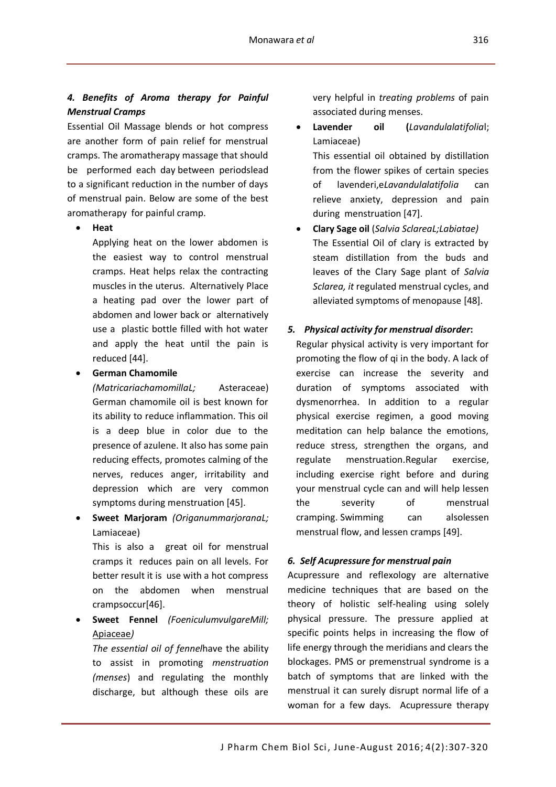## *4. Benefits of Aroma therapy for Painful Menstrual Cramps*

Essential Oil Massage blends or hot compress are another form of pain relief for menstrual cramps. The aromatherapy massage that should be performed each day between periodslead to a significant reduction in the number of days of menstrual pain. Below are some of the best aromatherapy for painful cramp.

**Heat** 

Applying heat on the lower abdomen is the easiest way to control menstrual cramps. Heat helps relax the contracting muscles in the uterus. Alternatively Place a heating pad over the lower part of abdomen and lower back or alternatively use a plastic bottle filled with hot water and apply the heat until the pain is reduced [44].

**German Chamomile**

*(MatricariachamomillaL;* [Asteraceae\)](https://en.wikipedia.org/wiki/Asteraceae) German chamomile oil is best known for its ability to reduce inflammation. This oil is a deep blue in color due to the presence of azulene. It also has some pain reducing effects, promotes calming of the nerves, reduces anger, irritability and depression which are very common symptoms during menstruation [45].

 **Sweet Marjoram** *(OriganummarjoranaL;* [Lamiaceae\)](https://en.wikipedia.org/wiki/Lamiaceae)

This is also a great oil for menstrual cramps it reduces pain on all levels. For better result it is use with a hot compress on the abdomen when menstrual crampsoccur[46].

 **Sweet Fennel** *(FoeniculumvulgareMill;* [Apiaceae](https://en.wikipedia.org/wiki/Apiaceae)*)*

*The essential oil of fennel*have the ability to assist in promoting *menstruation (menses*) and regulating the monthly discharge, but although these oils are

very helpful in *treating problems* of pain associated during menses.

- **Lavender oil (***[Lavandulalatifolia](https://en.wikipedia.org/wiki/Lavandula_latifolia)*l; Lamiaceae) This [essential oil](https://en.wikipedia.org/wiki/Essential_oil) obtained by [distillation](https://en.wikipedia.org/wiki/Distillation) from the flower spikes of certain species of [lavenderi](https://en.wikipedia.org/wiki/Lavender),e*[Lavandulalatifolia](https://en.wikipedia.org/wiki/Lavandula_latifolia)* can relieve anxiety, depression and pain during menstruation [47].
- **Clary Sage oil** (*Salvia SclareaL;Labiatae)* The Essential Oil of clary is extracted by steam distillation from the buds and leaves of the Clary Sage plant of *Salvia Sclarea, it* regulated menstrual cycles, and alleviated symptoms of menopause [48].

## *5. Physical activity for menstrual disorder***:**

Regular physical activity is very important for promoting the flow of qi in the body. A lack of exercise can increase the severity and duration of symptoms associated with dysmenorrhea. In addition to a regular physical exercise regimen, a good moving meditation can help balance the emotions, reduce stress, strengthen the organs, and regulate menstruation.Regular exercise, including exercise right before and during your menstrual cycle can and will help lessen the severity of menstrual cramping. Swimming can alsolessen menstrual flow, and lessen cramps [49].

## *6. Self Acupressure for menstrual pain*

Acupressure and reflexology are alternative medicine techniques that are based on the theory of holistic self-healing using solely physical pressure. The pressure applied at specific points helps in increasing the flow of life energy through the meridians and clears the blockages. PMS or premenstrual syndrome is a batch of symptoms that are linked with the menstrual it can surely disrupt normal life of a woman for a few days. Acupressure therapy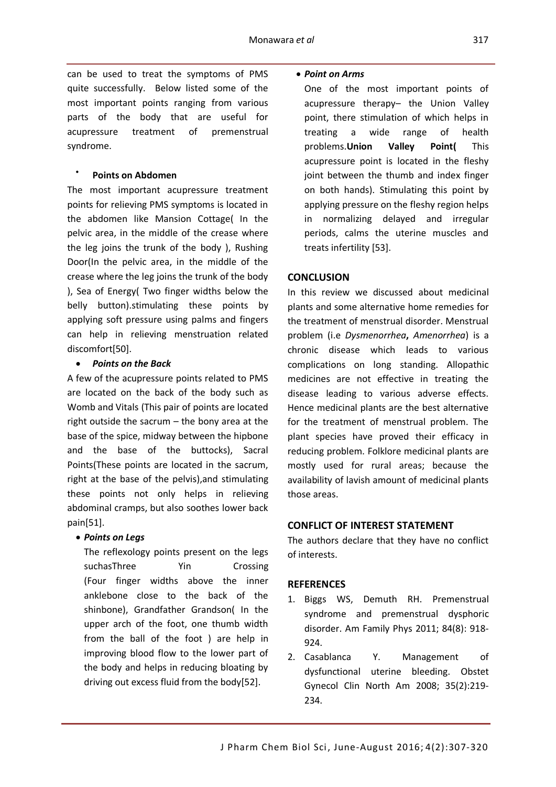can be used to treat the symptoms of PMS quite successfully. Below listed some of the most important points ranging from various parts of the body that are useful for acupressure treatment of premenstrual syndrome.

#### $\bullet$ **Points on Abdomen**

The most important acupressure treatment points for relieving PMS symptoms is located in the abdomen like Mansion Cottage( In the pelvic area, in the middle of the crease where the leg joins the trunk of the body ), Rushing Door(In the pelvic area, in the middle of the crease where the leg joins the trunk of the body ), Sea of Energy( Two finger widths below the belly button).stimulating these points by applying soft pressure using palms and fingers can help in relieving menstruation related discomfort[50].

## *Points on the Back*

A few of the acupressure points related to PMS are located on the back of the body such as Womb and Vitals (This pair of points are located right outside the sacrum – the bony area at the base of the spice, midway between the hipbone and the base of the buttocks), Sacral Points(These points are located in the sacrum, right at the base of the pelvis),and stimulating these points not only helps in relieving abdominal cramps, but also soothes lower back pain[51].

## *Points on Legs*

The reflexology points present on the legs suchasThree Yin Crossing (Four finger widths above the inner anklebone close to the back of the shinbone), Grandfather Grandson( In the upper arch of the foot, one thumb width from the ball of the foot ) are help in improving blood flow to the lower part of the body and helps in reducing bloating by driving out excess fluid from the body[52].

## *Point on Arms*

One of the most important points of acupressure therapy– the Union Valley point, there stimulation of which helps in treating a wide range of health problems.**Union Valley Point(** This acupressure point is located in the fleshy joint between the thumb and index finger on both hands). Stimulating this point by applying pressure on the fleshy region helps in normalizing delayed and irregular periods, calms the uterine muscles and treats infertility [53].

## **CONCLUSION**

In this review we discussed about medicinal plants and some alternative home remedies for the treatment of menstrual disorder. Menstrual problem (i.e *Dysmenorrhea***,** *Amenorrhea*) is a chronic disease which leads to various complications on long standing. Allopathic medicines are not effective in treating the disease leading to various adverse effects. Hence medicinal plants are the best alternative for the treatment of menstrual problem. The plant species have proved their efficacy in reducing problem. Folklore medicinal plants are mostly used for rural areas; because the availability of lavish amount of medicinal plants those areas.

## **CONFLICT OF INTEREST STATEMENT**

The authors declare that they have no conflict of interests.

## **REFERENCES**

- 1. Biggs WS, Demuth RH. Premenstrual syndrome and premenstrual dysphoric disorder. Am Family Phys 2011; 84(8): 918- 924.
- 2. Casablanca Y. Management of dysfunctional uterine bleeding. Obstet Gynecol Clin North Am 2008; 35(2):219- 234.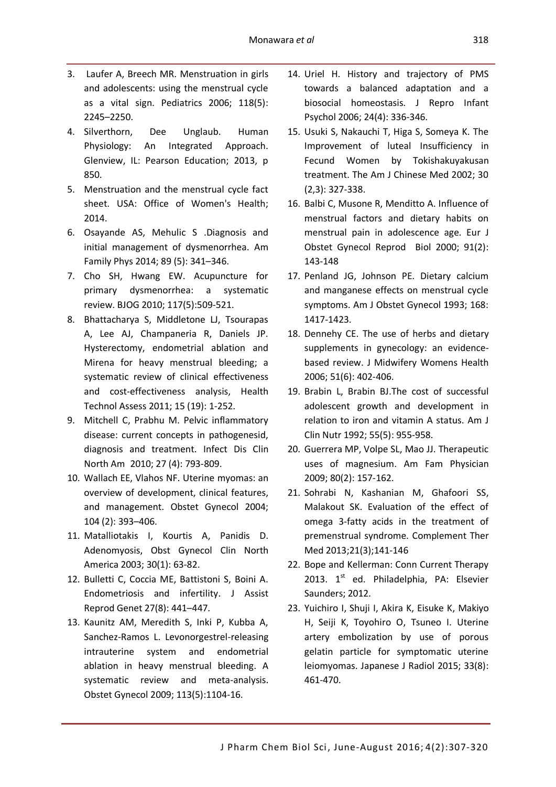- 3. Laufer A, Breech MR. Menstruation in girls and adolescents: using the menstrual cycle as a vital sign. Pediatrics 2006; 118(5): 2245–2250.
- 4. Silverthorn, Dee Unglaub. Human Physiology: An Integrated Approach. Glenview, IL: Pearson Education; 2013, p 850.
- 5. [Menstruation and the menstrual cycle fact](http://www.womenshealth.gov/publications/our-publications/fact-sheet/menstruation.html)  [sheet.](http://www.womenshealth.gov/publications/our-publications/fact-sheet/menstruation.html) USA: Office of Women's Health; 2014.
- 6. Osayande AS, Mehulic S .Diagnosis and initial management of dysmenorrhea. Am Family Phys 2014; 89 (5): 341–346.
- 7. Cho SH, Hwang EW. Acupuncture for primary dysmenorrhea: a systematic review. BJOG 2010; 117(5):509-521.
- 8. Bhattacharya S, Middletone LJ, Tsourapas A, Lee AJ, Champaneria R, Daniels JP. Hysterectomy, endometrial ablation and Mirena for heavy menstrual bleeding; a systematic review of clinical effectiveness and cost-effectiveness analysis, Health Technol Assess 2011; 15 (19): 1-252.
- 9. Mitchell C, Prabhu M. Pelvic inflammatory disease: current concepts in pathogenesid, diagnosis and treatment. Infect Dis Clin North Am 2010; 27 (4): 793-809.
- 10. Wallach EE, Vlahos NF. Uterine myomas: an overview of development, clinical features, and management. Obstet Gynecol 2004; 104 (2): 393–406.
- 11. Matalliotakis I, Kourtis A, Panidis D. Adenomyosis, Obst Gynecol Clin North America 2003; 30(1): 63-82.
- 12. Bulletti C, Coccia ME, Battistoni S, Boini A. [Endometriosis and infertility.](https://www.ncbi.nlm.nih.gov/pmc/articles/PMC2941592) J Assist Reprod Genet 27(8): 441–447.
- 13. Kaunitz AM, Meredith S, Inki P, Kubba A, Sanchez-Ramos L. Levonorgestrel-releasing intrauterine system and endometrial ablation in heavy menstrual bleeding. A systematic review and meta-analysis. Obstet Gynecol 2009; 113(5):1104-16.
- 14. Uriel H. History and trajectory of PMS towards a balanced adaptation and a biosocial homeostasis. J Repro Infant Psychol 2006; 24(4): 336-346.
- 15. Usuki S, Nakauchi T, Higa S, Someya K. The Improvement of luteal Insufficiency in Fecund Women by Tokishakuyakusan treatment. The Am J Chinese Med 2002; 30 (2,3): 327-338.
- 16. Balbi C, Musone R, Menditto A. Influence of menstrual factors and dietary habits on menstrual pain in adolescence age. Eur J Obstet Gynecol Reprod Biol 2000; 91(2): 143-148
- 17. Penland JG, Johnson PE. Dietary calcium and manganese effects on menstrual cycle symptoms. Am J Obstet Gynecol 1993; 168: 1417-1423.
- 18. Dennehy CE. The use of herbs and dietary supplements in gynecology: an evidencebased review. J Midwifery Womens Health 2006; 51(6): 402-406.
- 19. Brabin L, Brabin BJ.The cost of successful adolescent growth and development in relation to iron and vitamin A status. Am J Clin Nutr 1992; 55(5): 955-958.
- 20. Guerrera MP, Volpe SL, Mao JJ. Therapeutic uses of magnesium. Am Fam Physician 2009; 80(2): 157-162.
- 21. Sohrabi N, Kashanian M, Ghafoori SS, Malakout SK. Evaluation of the effect of omega 3-fatty acids in the treatment of premenstrual syndrome. Complement Ther Med 2013;21(3);141-146
- 22. Bope and Kellerman: Conn Current Therapy 2013.  $1<sup>st</sup>$  ed. Philadelphia, PA: Elsevier Saunders; 2012.
- 23. Yuichiro I, Shuji I, Akira K, Eisuke K, Makiyo H, Seiji K, Toyohiro O, Tsuneo I. Uterine artery embolization by use of porous gelatin particle for symptomatic uterine leiomyomas. Japanese J Radiol 2015; 33(8): 461-470.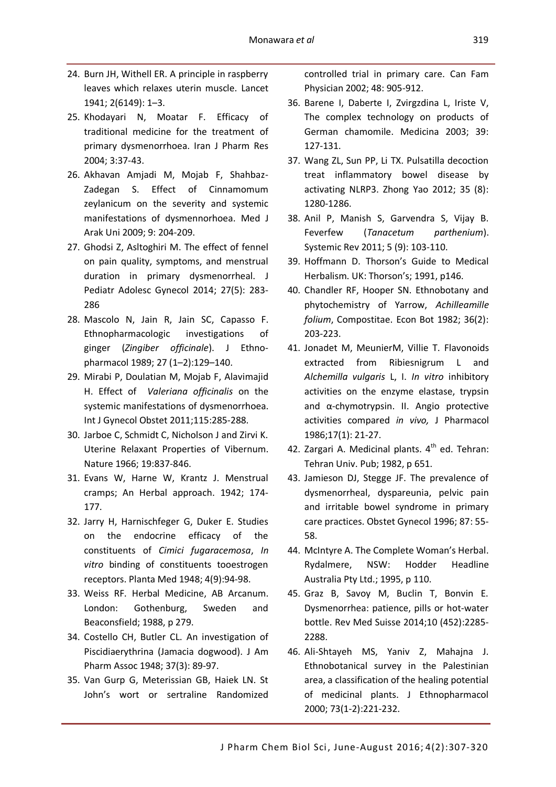- 24. Burn JH, Withell ER. A principle in raspberry leaves which relaxes uterin muscle. Lancet 1941; 2(6149): 1–3.
- 25. Khodayari N, Moatar F. Efficacy of traditional medicine for the treatment of primary dysmenorrhoea. Iran J Pharm Res 2004; 3:37-43.
- 26. Akhavan Amjadi M, Mojab F, Shahbaz-Zadegan S. Effect of Cinnamomum zeylanicum on the severity and systemic manifestations of dysmennorhoea. Med J Arak Uni 2009; 9: 204-209.
- 27. Ghodsi Z, Asltoghiri M. The effect of fennel on pain quality, symptoms, and menstrual duration in primary dysmenorrheal. J Pediatr Adolesc Gynecol 2014; 27(5): 283- 286
- 28. Mascolo N, Jain R, Jain SC, Capasso F. Ethnopharmacologic investigations of ginger (*Zingiber officinale*). J Ethnopharmacol 1989; 27 (1–2):129–140.
- 29. Mirabi P, Doulatian M, Mojab F, Alavimajid H. Effect of *Valeriana officinalis* on the systemic manifestations of dysmenorrhoea. Int J Gynecol Obstet 2011;115:285-288.
- 30. Jarboe C, Schmidt C, Nicholson J and Zirvi K. Uterine Relaxant Properties of Vibernum. Nature 1966; 19:837-846.
- 31. Evans W, Harne W, Krantz J. Menstrual cramps; An Herbal approach. 1942; 174- 177.
- 32. Jarry H, Harnischfeger G, Duker E. Studies on the endocrine efficacy of the constituents of *Cimici fugaracemosa*, *In vitro* binding of constituents tooestrogen receptors. Planta Med 1948; 4(9):94-98.
- 33. Weiss RF. Herbal Medicine, AB Arcanum. London: Gothenburg, Sweden and Beaconsfield; 1988, p 279.
- 34. Costello CH, Butler CL. An investigation of Piscidiaerythrina (Jamacia dogwood). J Am Pharm Assoc 1948; 37(3): 89-97.
- 35. Van Gurp G, Meterissian GB, Haiek LN. St John's wort or sertraline Randomized

controlled trial in primary care. Can Fam Physician 2002; 48: 905-912.

- 36. Barene I, Daberte I, Zvirgzdina L, Iriste V, The complex technology on products of German chamomile. Medicina 2003; 39: 127-131.
- 37. Wang ZL, Sun PP, Li TX. Pulsatilla decoction treat inflammatory bowel disease by activating NLRP3. Zhong Yao 2012; 35 (8): 1280-1286.
- 38. Anil P, Manish S, Garvendra S, Vijay B. Feverfew (*Tanacetum parthenium*). Systemic Rev 2011; 5 (9): 103-110.
- 39. Hoffmann D. Thorson's Guide to Medical Herbalism. UK: Thorson's; 1991, p146.
- 40. Chandler RF, Hooper SN. Ethnobotany and phytochemistry of Yarrow, *Achilleamille folium*, Compostitae. Econ Bot 1982; 36(2): 203-223.
- 41. Jonadet M, MeunierM, Villie T. Flavonoids extracted from Ribiesnigrum L and *Alchemilla vulgaris* L, I. *In vitro* inhibitory activities on the enzyme elastase, trypsin and α-chymotrypsin. II. Angio protective activities compared *in vivo,* J Pharmacol 1986;17(1): 21-27.
- 42. Zargari A. Medicinal plants.  $4<sup>th</sup>$  ed. Tehran: Tehran Univ. Pub; 1982, p 651.
- 43. Jamieson DJ, Stegge JF. The prevalence of dysmenorrheal, dyspareunia, pelvic pain and irritable bowel syndrome in primary care practices. Obstet Gynecol 1996; 87: 55- 58.
- 44. McIntyre A. The Complete Woman's Herbal. Rydalmere, NSW: Hodder Headline Australia Pty Ltd.; 1995, p 110.
- 45. Graz B, Savoy M, Buclin T, Bonvin E. Dysmenorrhea: patience, pills or hot-water bottle. Rev Med Suisse 2014;10 (452):2285- 2288.
- 46. Ali-Shtayeh MS, Yaniv Z, Mahajna J. Ethnobotanical survey in the Palestinian area, a classification of the healing potential of medicinal plants. J Ethnopharmacol 2000; 73(1-2):221-232.